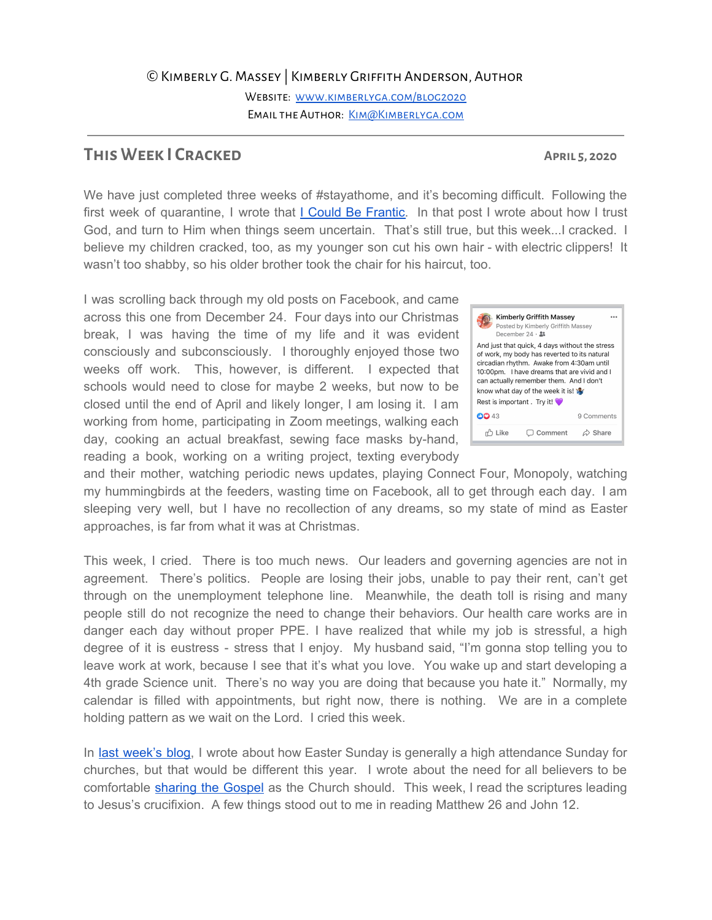## ©Kimberly G. Massey | Kimberly Griffith Anderson, Author

Website: [www.kimberlyga.com/blog2020](http://www.kimberlyga.com/blog2020) EMAIL THE AUTHOR: KIM@KIMBERLYGA.COM

## **This Week I Cracked April 5, 2020**

We have just completed three weeks of #stayathome, and it's becoming difficult. Following the first week of quarantine, I wrote that I Could Be [Frantic](https://www.kimberlyga.com/blog2020/i-could-be-frantic). In that post I wrote about how I trust God, and turn to Him when things seem uncertain. That's still true, but this week...I cracked. I believe my children cracked, too, as my younger son cut his own hair - with electric clippers! It wasn't too shabby, so his older brother took the chair for his haircut, too.

I was scrolling back through my old posts on Facebook, and came across this one from December 24. Four days into our Christmas break, I was having the time of my life and it was evident consciously and subconsciously. I thoroughly enjoyed those two weeks off work. This, however, is different. I expected that schools would need to close for maybe 2 weeks, but now to be closed until the end of April and likely longer, I am losing it. I am working from home, participating in Zoom meetings, walking each day, cooking an actual breakfast, sewing face masks by-hand, reading a book, working on a writing project, texting everybody

and their mother, watching periodic news updates, playing Connect Four, Monopoly, watching my hummingbirds at the feeders, wasting time on Facebook, all to get through each day. I am sleeping very well, but I have no recollection of any dreams, so my state of mind as Easter approaches, is far from what it was at Christmas.

This week, I cried. There is too much news. Our leaders and governing agencies are not in agreement. There's politics. People are losing their jobs, unable to pay their rent, can't get through on the unemployment telephone line. Meanwhile, the death toll is rising and many people still do not recognize the need to change their behaviors. Our health care works are in danger each day without proper PPE. I have realized that while my job is stressful, a high degree of it is eustress - stress that I enjoy. My husband said, "I'm gonna stop telling you to leave work at work, because I see that it's what you love. You wake up and start developing a 4th grade Science unit. There's no way you are doing that because you hate it." Normally, my calendar is filled with appointments, but right now, there is nothing. We are in a complete holding pattern as we wait on the Lord. I cried this week.

In last [week's](https://www.kimberlyga.com/blog2020/whats-that-about-easter) blog, I wrote about how Easter Sunday is generally a high attendance Sunday for churches, but that would be different this year. I wrote about the need for all believers to be comfortable [sharing](https://www.youtube.com/watch?v=KlXld65Iego) the Gospel as the Church should. This week, I read the scriptures leading to Jesus's crucifixion. A few things stood out to me in reading Matthew 26 and John 12.

Kimberly Griffith Massey Posted by Kimberly Griffith Massey December 24  $\cdot$  3: And just that quick, 4 days without the stress of work, my body has reverted to its natural circadian rhythm. Awake from 4:30am until 10:00pm. I have dreams that are vivid and I can actually remember them. And I don't know what day of the week it is! W Rest is important. Try it! **CO** 43 9 Comments

□ Comment

 $\triangle$  Share

r<sup>1</sup> Like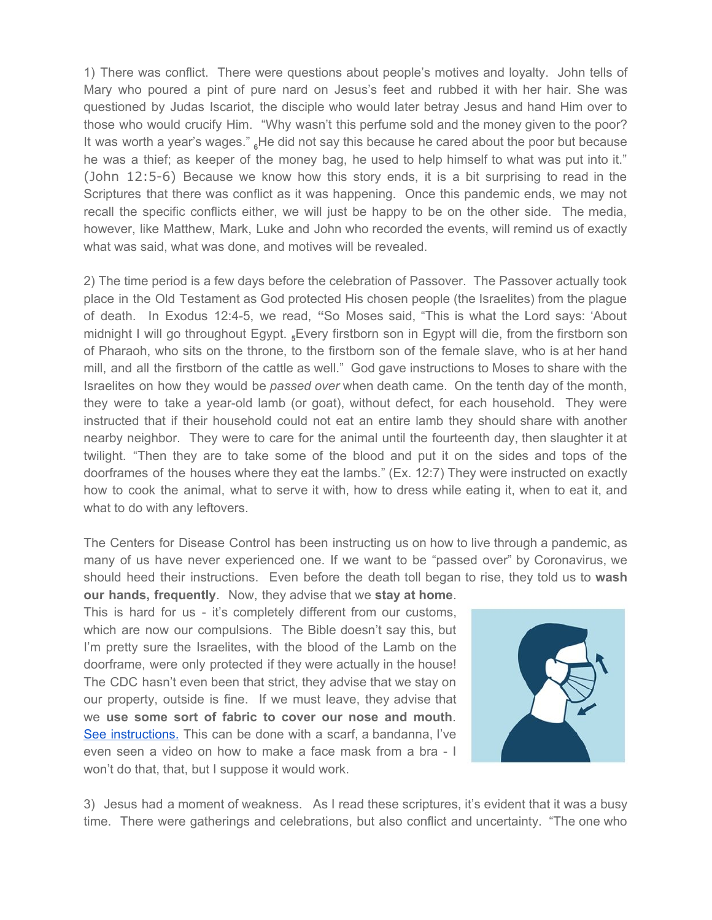1) There was conflict. There were questions about people's motives and loyalty. John tells of Mary who poured a pint of pure nard on Jesus's feet and rubbed it with her hair. She was questioned by Judas Iscariot, the disciple who would later betray Jesus and hand Him over to those who would crucify Him. "Why wasn't this perfume sold and the money given to the poor? It was worth a year's wages." **<sup>6</sup>**He did not say this because he cared about the poor but because he was a thief; as keeper of the money bag, he used to help himself to what was put into it." (John 12:5-6) Because we know how this story ends, it is a bit surprising to read in the Scriptures that there was conflict as it was happening. Once this pandemic ends, we may not recall the specific conflicts either, we will just be happy to be on the other side. The media, however, like Matthew, Mark, Luke and John who recorded the events, will remind us of exactly what was said, what was done, and motives will be revealed.

2) The time period is a few days before the celebration of Passover. The Passover actually took place in the Old Testament as God protected His chosen people (the Israelites) from the plague of death. In Exodus 12:4-5, we read, **"**So Moses said, "This is what the Lord says: 'About midnight I will go throughout Egypt. **<sup>5</sup>**Every firstborn son in Egypt will die, from the firstborn son of Pharaoh, who sits on the throne, to the firstborn son of the female slave, who is at her hand mill, and all the firstborn of the cattle as well." God gave instructions to Moses to share with the Israelites on how they would be *passed over* when death came. On the tenth day of the month, they were to take a year-old lamb (or goat), without defect, for each household. They were instructed that if their household could not eat an entire lamb they should share with another nearby neighbor. They were to care for the animal until the fourteenth day, then slaughter it at twilight. "Then they are to take some of the blood and put it on the sides and tops of the doorframes of the houses where they eat the lambs." (Ex. 12:7) They were instructed on exactly how to cook the animal, what to serve it with, how to dress while eating it, when to eat it, and what to do with any leftovers.

The Centers for Disease Control has been instructing us on how to live through a pandemic, as many of us have never experienced one. If we want to be "passed over" by Coronavirus, we should heed their instructions. Even before the death toll began to rise, they told us to **wash our hands, frequently**. Now, they advise that we **stay at home**.

This is hard for us - it's completely different from our customs, which are now our compulsions. The Bible doesn't say this, but I'm pretty sure the Israelites, with the blood of the Lamb on the doorframe, were only protected if they were actually in the house! The CDC hasn't even been that strict, they advise that we stay on our property, outside is fine. If we must leave, they advise that we **use some sort of fabric to cover our nose and mouth**. See [instructions.](https://www.cdc.gov/coronavirus/2019-ncov/prevent-getting-sick/diy-cloth-face-coverings.html) This can be done with a scarf, a bandanna, I've even seen a video on how to make a face mask from a bra - I won't do that, that, but I suppose it would work.



3) Jesus had a moment of weakness. As I read these scriptures, it's evident that it was a busy time. There were gatherings and celebrations, but also conflict and uncertainty. "The one who